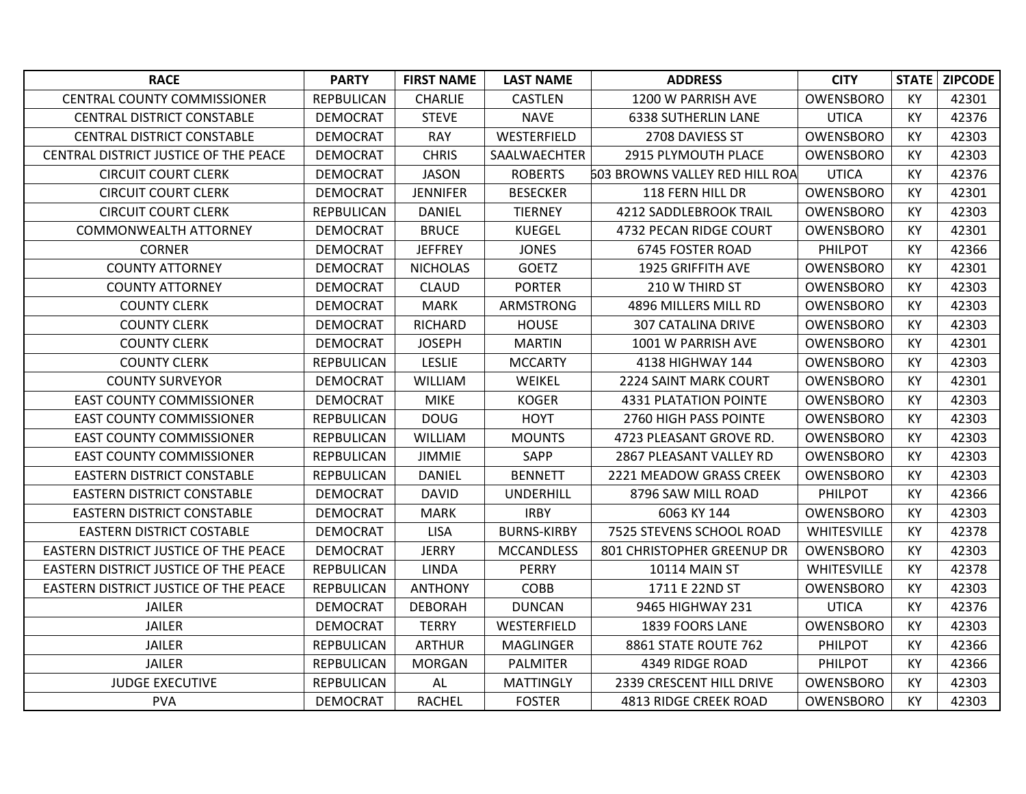| <b>RACE</b>                           | <b>PARTY</b>      | <b>FIRST NAME</b> | <b>LAST NAME</b>   | <b>ADDRESS</b>                 | <b>CITY</b>        | <b>STATE</b> | ZIPCODE |
|---------------------------------------|-------------------|-------------------|--------------------|--------------------------------|--------------------|--------------|---------|
| <b>CENTRAL COUNTY COMMISSIONER</b>    | <b>REPBULICAN</b> | CHARLIE           | <b>CASTLEN</b>     | 1200 W PARRISH AVE             | <b>OWENSBORO</b>   | KY           | 42301   |
| <b>CENTRAL DISTRICT CONSTABLE</b>     | DEMOCRAT          | <b>STEVE</b>      | <b>NAVE</b>        | <b>6338 SUTHERLIN LANE</b>     | <b>UTICA</b>       | KY           | 42376   |
| <b>CENTRAL DISTRICT CONSTABLE</b>     | <b>DEMOCRAT</b>   | <b>RAY</b>        | WESTERFIELD        | 2708 DAVIESS ST                | OWENSBORO          | KY           | 42303   |
| CENTRAL DISTRICT JUSTICE OF THE PEACE | <b>DEMOCRAT</b>   | <b>CHRIS</b>      | SAALWAECHTER       | 2915 PLYMOUTH PLACE            | OWENSBORO          | KY           | 42303   |
| <b>CIRCUIT COURT CLERK</b>            | <b>DEMOCRAT</b>   | <b>JASON</b>      | <b>ROBERTS</b>     | 603 BROWNS VALLEY RED HILL ROA | <b>UTICA</b>       | KY           | 42376   |
| <b>CIRCUIT COURT CLERK</b>            | <b>DEMOCRAT</b>   | <b>JENNIFER</b>   | <b>BESECKER</b>    | 118 FERN HILL DR               | <b>OWENSBORO</b>   | KY           | 42301   |
| <b>CIRCUIT COURT CLERK</b>            | <b>REPBULICAN</b> | <b>DANIEL</b>     | <b>TIERNEY</b>     | 4212 SADDLEBROOK TRAIL         | OWENSBORO          | KY           | 42303   |
| <b>COMMONWEALTH ATTORNEY</b>          | <b>DEMOCRAT</b>   | <b>BRUCE</b>      | <b>KUEGEL</b>      | 4732 PECAN RIDGE COURT         | <b>OWENSBORO</b>   | KY           | 42301   |
| <b>CORNER</b>                         | <b>DEMOCRAT</b>   | <b>JEFFREY</b>    | <b>JONES</b>       | 6745 FOSTER ROAD               | PHILPOT            | KY           | 42366   |
| <b>COUNTY ATTORNEY</b>                | <b>DEMOCRAT</b>   | <b>NICHOLAS</b>   | <b>GOETZ</b>       | <b>1925 GRIFFITH AVE</b>       | OWENSBORO          | KY           | 42301   |
| <b>COUNTY ATTORNEY</b>                | <b>DEMOCRAT</b>   | <b>CLAUD</b>      | <b>PORTER</b>      | 210 W THIRD ST                 | OWENSBORO          | KY           | 42303   |
| <b>COUNTY CLERK</b>                   | <b>DEMOCRAT</b>   | <b>MARK</b>       | <b>ARMSTRONG</b>   | 4896 MILLERS MILL RD           | OWENSBORO          | <b>KY</b>    | 42303   |
| <b>COUNTY CLERK</b>                   | <b>DEMOCRAT</b>   | <b>RICHARD</b>    | <b>HOUSE</b>       | <b>307 CATALINA DRIVE</b>      | OWENSBORO          | KY           | 42303   |
| <b>COUNTY CLERK</b>                   | <b>DEMOCRAT</b>   | <b>JOSEPH</b>     | <b>MARTIN</b>      | 1001 W PARRISH AVE             | OWENSBORO          | KY           | 42301   |
| <b>COUNTY CLERK</b>                   | <b>REPBULICAN</b> | <b>LESLIE</b>     | <b>MCCARTY</b>     | 4138 HIGHWAY 144               | OWENSBORO          | KY           | 42303   |
| <b>COUNTY SURVEYOR</b>                | <b>DEMOCRAT</b>   | <b>WILLIAM</b>    | WEIKEL             | 2224 SAINT MARK COURT          | OWENSBORO          | KY           | 42301   |
| <b>EAST COUNTY COMMISSIONER</b>       | <b>DEMOCRAT</b>   | <b>MIKE</b>       | <b>KOGER</b>       | <b>4331 PLATATION POINTE</b>   | OWENSBORO          | KY           | 42303   |
| <b>EAST COUNTY COMMISSIONER</b>       | <b>REPBULICAN</b> | <b>DOUG</b>       | <b>HOYT</b>        | 2760 HIGH PASS POINTE          | OWENSBORO          | KY           | 42303   |
| <b>EAST COUNTY COMMISSIONER</b>       | <b>REPBULICAN</b> | <b>WILLIAM</b>    | <b>MOUNTS</b>      | 4723 PLEASANT GROVE RD.        | OWENSBORO          | KY           | 42303   |
| <b>EAST COUNTY COMMISSIONER</b>       | <b>REPBULICAN</b> | <b>JIMMIE</b>     | SAPP               | 2867 PLEASANT VALLEY RD        | <b>OWENSBORO</b>   | KY           | 42303   |
| <b>EASTERN DISTRICT CONSTABLE</b>     | <b>REPBULICAN</b> | <b>DANIEL</b>     | <b>BENNETT</b>     | 2221 MEADOW GRASS CREEK        | OWENSBORO          | KY           | 42303   |
| <b>EASTERN DISTRICT CONSTABLE</b>     | DEMOCRAT          | <b>DAVID</b>      | <b>UNDERHILL</b>   | 8796 SAW MILL ROAD             | PHILPOT            | KY           | 42366   |
| <b>EASTERN DISTRICT CONSTABLE</b>     | <b>DEMOCRAT</b>   | <b>MARK</b>       | <b>IRBY</b>        | 6063 KY 144                    | OWENSBORO          | KY           | 42303   |
| <b>EASTERN DISTRICT COSTABLE</b>      | <b>DEMOCRAT</b>   | <b>LISA</b>       | <b>BURNS-KIRBY</b> | 7525 STEVENS SCHOOL ROAD       | <b>WHITESVILLE</b> | KY           | 42378   |
| EASTERN DISTRICT JUSTICE OF THE PEACE | <b>DEMOCRAT</b>   | <b>JERRY</b>      | <b>MCCANDLESS</b>  | 801 CHRISTOPHER GREENUP DR     | OWENSBORO          | KY           | 42303   |
| EASTERN DISTRICT JUSTICE OF THE PEACE | REPBULICAN        | <b>LINDA</b>      | <b>PERRY</b>       | <b>10114 MAIN ST</b>           | WHITESVILLE        | KY           | 42378   |
| EASTERN DISTRICT JUSTICE OF THE PEACE | REPBULICAN        | <b>ANTHONY</b>    | <b>COBB</b>        | 1711 E 22ND ST                 | OWENSBORO          | KY           | 42303   |
| <b>JAILER</b>                         | <b>DEMOCRAT</b>   | <b>DEBORAH</b>    | <b>DUNCAN</b>      | 9465 HIGHWAY 231               | <b>UTICA</b>       | KY           | 42376   |
| <b>JAILER</b>                         | <b>DEMOCRAT</b>   | <b>TERRY</b>      | WESTERFIELD        | 1839 FOORS LANE                | OWENSBORO          | KY           | 42303   |
| JAILER                                | <b>REPBULICAN</b> | <b>ARTHUR</b>     | <b>MAGLINGER</b>   | 8861 STATE ROUTE 762           | PHILPOT            | KY           | 42366   |
| <b>JAILER</b>                         | REPBULICAN        | <b>MORGAN</b>     | <b>PALMITER</b>    | 4349 RIDGE ROAD                | <b>PHILPOT</b>     | KY           | 42366   |
| <b>JUDGE EXECUTIVE</b>                | <b>REPBULICAN</b> | AL                | <b>MATTINGLY</b>   | 2339 CRESCENT HILL DRIVE       | OWENSBORO          | KY           | 42303   |
| <b>PVA</b>                            | <b>DEMOCRAT</b>   | <b>RACHEL</b>     | <b>FOSTER</b>      | 4813 RIDGE CREEK ROAD          | OWENSBORO          | KY           | 42303   |